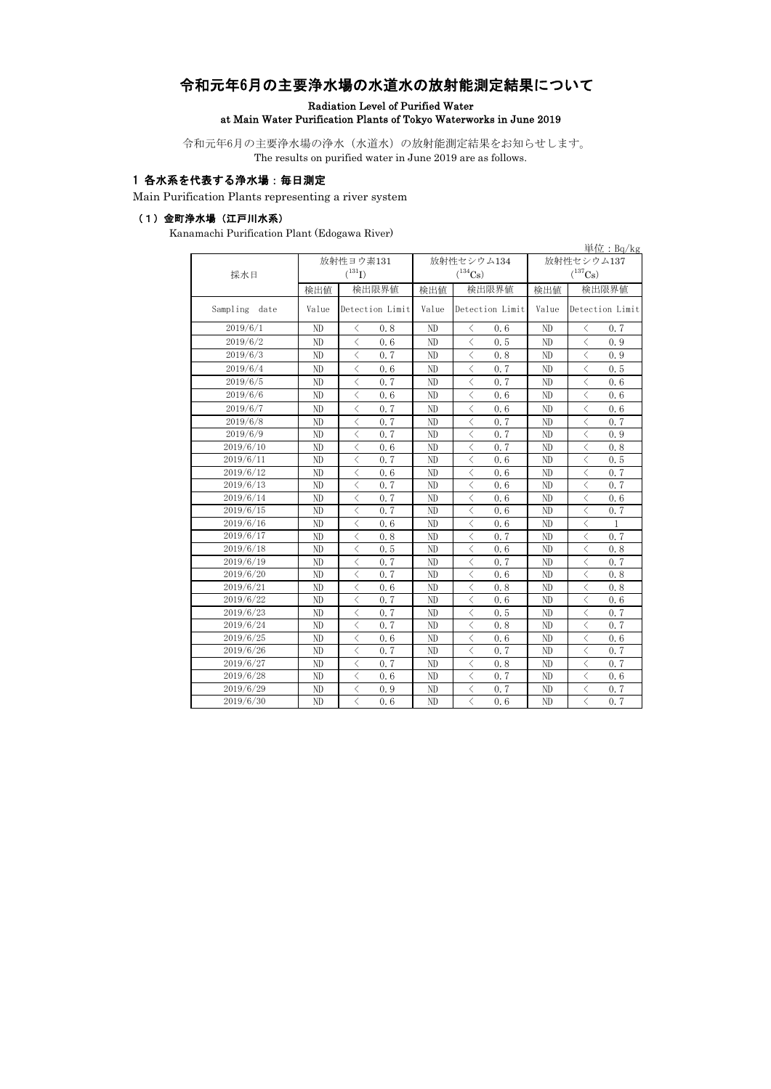# 令和元年6月の主要浄水場の水道水の放射能測定結果について

Radiation Level of Purified Water

## at Main Water Purification Plants of Tokyo Waterworks in June 2019

令和元年6月の主要浄水場の浄水(水道水)の放射能測定結果をお知らせします。 The results on purified water in June 2019 are as follows.

### 1 各水系を代表する浄水場:毎日測定

Main Purification Plants representing a river system

#### (1)金町浄水場(江戸川水系)

Kanamachi Purification Plant (Edogawa River)

|                  |          |                                                 |                |                                                 |                | $\vert \psi \vert$ : Bq/kg                      |  |
|------------------|----------|-------------------------------------------------|----------------|-------------------------------------------------|----------------|-------------------------------------------------|--|
|                  |          | 放射性ヨウ素131                                       |                | 放射性セシウム134                                      | 放射性セシウム137     |                                                 |  |
| 採水日              |          | $(^{131}I)$                                     |                | $(^{134}Cs)$                                    |                | $(^{137}\mathrm{Cs})$                           |  |
|                  | 検出値      | 検出限界値                                           | 検出値            | 検出限界値                                           | 検出値            | 検出限界値                                           |  |
| Sampling<br>date | Value    | Detection Limit                                 | Value          | Detection Limit                                 | Value          | Detection Limit                                 |  |
| 2019/6/1         | ND       | 0.8<br>$\langle$                                | ND             | 0.6<br>$\langle$                                | ND             | 0.7<br>$\langle$                                |  |
| 2019/6/2         | ND       | $\langle$<br>0.6                                | ND             | $\langle$<br>0.5                                | ND             | $\langle$<br>0.9                                |  |
| 2019/6/3         | ND       | $\langle$<br>0.7                                | ND             | $\langle$<br>0.8                                | ND             | $\langle$<br>0.9                                |  |
| 2019/6/4         | ND       | $\langle$<br>0.6                                | ND             | $\lt$<br>0.7                                    | ND             | $\langle$<br>0.5                                |  |
| 2019/6/5         | ND       | $\langle$<br>0.7                                | ND             | $\langle$<br>0.7                                | ND             | $\langle$<br>0.6                                |  |
| 2019/6/6         | ND       | $\langle$<br>0.6                                | ND             | $\lt$<br>0.6                                    | ND             | $\langle$<br>0, 6                               |  |
| 2019/6/7         | ND       | $\langle$<br>0.7                                | ND             | $\langle$<br>0.6                                | ND             | $\langle$<br>0.6                                |  |
| 2019/6/8         | ND       | $\langle$<br>0.7                                | ND             | $\overline{\left\langle \right\rangle }$<br>0.7 | ND             | $\lt$<br>0.7                                    |  |
| 2019/6/9         | ND       | $\langle$<br>0.7                                | ND             | $\overline{\left\langle \right\rangle }$<br>0.7 | ND             | $\langle$<br>0.9                                |  |
| 2019/6/10        | ND       | $\overline{\left\langle \right\rangle }$<br>0.6 | ND             | $\langle$<br>0.7                                | N <sub>D</sub> | $\overline{\left\langle \right\rangle }$<br>0.8 |  |
| 2019/6/11        | ND       | $\langle$<br>0.7                                | N <sub>D</sub> | $\langle$<br>0.6                                | ND             | $\langle$<br>0.5                                |  |
| 2019/6/12        | ND       | $\overline{\left\langle \right\rangle }$<br>0.6 | ND             | $\overline{\left\langle \right\rangle }$<br>0.6 | ND             | $\langle$<br>0.7                                |  |
| 2019/6/13        | ND       | $\langle$<br>0.7                                | ND             | $\overline{\left\langle \right\rangle }$<br>0.6 | ND             | $\langle$<br>0.7                                |  |
| 2019/6/14        | ND       | $\langle$<br>0.7                                | ND             | $\langle$<br>0.6                                | ND             | $\lt$<br>0.6                                    |  |
| 2019/6/15        | ND       | $\langle$<br>0.7                                | ND             | $\lt$<br>0.6                                    | ND             | $\lt$<br>0.7                                    |  |
| 2019/6/16        | ND       | $\langle$<br>0.6                                | ND             | $\langle$<br>0.6                                | ND             | $\lt$<br>$\mathbf{1}$                           |  |
| 2019/6/17        | ND       | $\langle$<br>0.8                                | ND             | $\langle$<br>0.7                                | ND             | $\lt$<br>0.7                                    |  |
| 2019/6/18        | ND       | $\langle$<br>0.5                                | ND             | $\lt$<br>0.6                                    | ND             | $\lt$<br>0.8                                    |  |
| 2019/6/19        | ND       | $\langle$<br>0.7                                | ND             | $\langle$<br>0.7                                | ND             | $\langle$<br>0.7                                |  |
| 2019/6/20        | ND       | $\langle$<br>0.7                                | ND             | $\langle$<br>0.6                                | ND             | $\langle$<br>0.8                                |  |
| 2019/6/21        | ND       | $\langle$<br>0.6                                | ND             | $\langle$<br>0.8                                | ND             | $\langle$<br>0.8                                |  |
| 2019/6/22        | $\rm ND$ | $\langle$<br>0.7                                | ND             | $\langle$<br>0.6                                | ND             | $\langle$<br>0.6                                |  |
| 2019/6/23        | ND       | $\overline{\left\langle \right\rangle }$<br>0.7 | ND             | $\lt$<br>0.5                                    | ND             | $\langle$<br>0.7                                |  |
| 2019/6/24        | ND       | $\langle$<br>0.7                                | ND             | $\langle$<br>0.8                                | ND             | $\lt$<br>0.7                                    |  |
| 2019/6/25        | ND       | $\langle$<br>0.6                                | ND             | $\lt$<br>0.6                                    | ND             | $\lt$<br>0.6                                    |  |
| 2019/6/26        | ND       | $\langle$<br>0.7                                | ND             | $\overline{\left\langle \right\rangle }$<br>0.7 | ND             | $\langle$<br>0.7                                |  |
| 2019/6/27        | ND       | $\langle$<br>0.7                                | ND             | $\lt$<br>0.8                                    | ND             | $\langle$<br>0.7                                |  |
| 2019/6/28        | ND       | $\langle$<br>0, 6                               | ND             | $\langle$<br>0.7                                | ND             | $\langle$<br>0.6                                |  |
| 2019/6/29        | ND       | $\overline{\left\langle \right\rangle }$<br>0.9 | ND             | $\overline{\left\langle \right\rangle }$<br>0.7 | ND             | $\overline{\left\langle \right\rangle }$<br>0.7 |  |
| 2019/6/30        | ND       | $\langle$<br>0.6                                | ND             | $\overline{\left\langle \right\rangle }$<br>0.6 | ND             | $\overline{\left\langle \right\rangle }$<br>0.7 |  |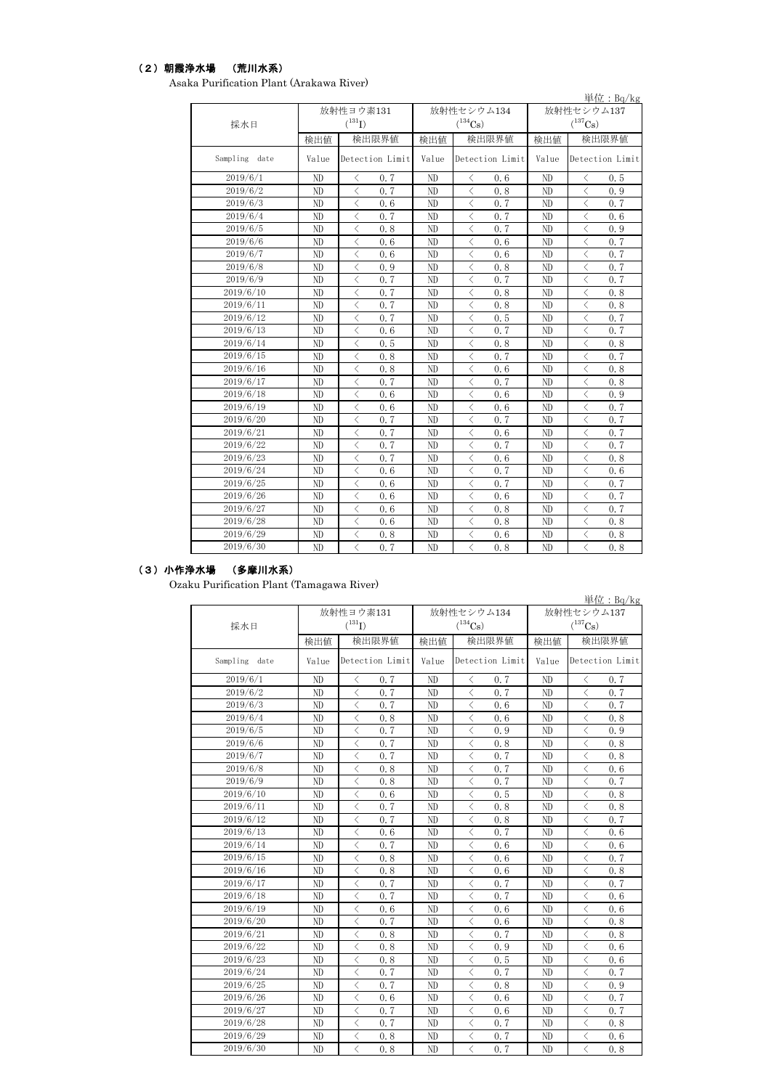## (2)朝霞浄水場 (荒川水系)

Asaka Purification Plant (Arakawa River)

|               | 単位: Bq/kg      |                                                 |       |                                                 |              |                                                 |  |  |  |
|---------------|----------------|-------------------------------------------------|-------|-------------------------------------------------|--------------|-------------------------------------------------|--|--|--|
|               |                | 放射性ヨウ素131                                       |       | 放射性セシウム134                                      | 放射性セシウム137   |                                                 |  |  |  |
| 採水日           |                | $(^{131}I)$                                     |       | $(^{134}Cs)$                                    | $(^{137}Cs)$ |                                                 |  |  |  |
|               | 検出値            | 検出限界値                                           | 検出値   | 検出限界値                                           | 検出値          | 検出限界値                                           |  |  |  |
| Sampling date | Value          | Detection Limit                                 | Value | Detection Limit                                 | Value        | Detection Limit                                 |  |  |  |
| 2019/6/1      | ND             | 0, 7<br>$\lt$                                   | ND    | 0.6<br>⟨                                        | ND           | 0.5<br>く                                        |  |  |  |
| 2019/6/2      | ND             | $\overline{\left\langle \right\rangle }$<br>0.7 | ND    | $\overline{\left\langle \right\rangle }$<br>0.8 | ND           | $\langle$<br>0.9                                |  |  |  |
| 2019/6/3      | ND             | $\langle$<br>0.6                                | ND    | $\langle$<br>0.7                                | ND           | $\langle$<br>0.7                                |  |  |  |
| 2019/6/4      | ND             | $\lt$<br>0.7                                    | ND    | $\langle$<br>0.7                                | ND           | $\langle$<br>0.6                                |  |  |  |
| 2019/6/5      | ND             | $\langle$<br>0.8                                | ND    | $\lt$<br>0.7                                    | ND           | $\langle$<br>0.9                                |  |  |  |
| 2019/6/6      | ND             | $\langle$<br>0.6                                | ND    | $\overline{\left\langle \right\rangle }$<br>0.6 | ND           | $\lt$<br>0.7                                    |  |  |  |
| 2019/6/7      | ND             | $\langle$<br>0.6                                | ND    | $\lt$<br>0.6                                    | ND           | $\langle$<br>0.7                                |  |  |  |
| 2019/6/8      | ND             | $\langle$<br>0.9                                | ND    | $\lt$<br>0.8                                    | ND           | $\langle$<br>0.7                                |  |  |  |
| 2019/6/9      | N <sub>D</sub> | $\langle$<br>0.7                                | ND    | $\langle$<br>0.7                                | ND           | $\langle$<br>0.7                                |  |  |  |
| 2019/6/10     | ND             | $\langle$<br>0.7                                | ND    | $\langle$<br>0.8                                | ND           | $\langle$<br>0.8                                |  |  |  |
| 2019/6/11     | ND             | $\langle$<br>0.7                                | ND    | $\lt$<br>0.8                                    | ND           | $\langle$<br>0.8                                |  |  |  |
| 2019/6/12     | ND             | $\langle$<br>0.7                                | ND    | $\lt$<br>0.5                                    | ND           | $\langle$<br>0.7                                |  |  |  |
| 2019/6/13     | ND             | $\langle$<br>0.6                                | ND    | $\langle$<br>0.7                                | ND           | 0.7<br>$\langle$                                |  |  |  |
| 2019/6/14     | ND             | $\langle$<br>0.5                                | ND    | $\langle$<br>0.8                                | ND           | $\langle$<br>0.8                                |  |  |  |
| 2019/6/15     | ND             | $\langle$<br>0.8                                | ND    | $\langle$<br>0.7                                | ND           | $\langle$<br>0.7                                |  |  |  |
| 2019/6/16     | ND             | $\langle$<br>0.8                                | ND    | $\langle$<br>0.6                                | ND           | $\lt$<br>0.8                                    |  |  |  |
| 2019/6/17     | ND             | $\langle$<br>0.7                                | ND    | $\langle$<br>0.7                                | ND           | $\langle$<br>0.8                                |  |  |  |
| 2019/6/18     | ND             | $\langle$<br>0.6                                | ND    | $\overline{\left\langle \right\rangle }$<br>0.6 | ND           | $\overline{\left\langle \right\rangle }$<br>0.9 |  |  |  |
| 2019/6/19     | ND             | $\langle$<br>0.6                                | ND    | $\langle$<br>0.6                                | ND           | $\langle$<br>0.7                                |  |  |  |
| 2019/6/20     | ND             | $\langle$<br>0.7                                | ND    | $\overline{\left\langle \right\rangle }$<br>0.7 | ND           | $\lt$<br>0.7                                    |  |  |  |
| 2019/6/21     | ND             | $\langle$<br>0.7                                | ND    | $\lt$<br>0.6                                    | ND           | $\lt$<br>0.7                                    |  |  |  |
| 2019/6/22     | ND             | $\langle$<br>0.7                                | ND    | $\lt$<br>0.7                                    | ND           | $\langle$<br>0.7                                |  |  |  |
| 2019/6/23     | ND             | $\langle$<br>0.7                                | ND    | $\langle$<br>0.6                                | ND           | $\langle$<br>0.8                                |  |  |  |
| 2019/6/24     | ND             | $\langle$<br>0, 6                               | ND    | $\langle$<br>0.7                                | ND           | $\langle$<br>0.6                                |  |  |  |
| 2019/6/25     | ND             | $\langle$<br>0.6                                | ND    | $\langle$<br>0.7                                | ND           | $\lt$<br>0.7                                    |  |  |  |
| 2019/6/26     | ND             | $\langle$<br>0.6                                | ND    | $\langle$<br>0.6                                | ND           | $\langle$<br>0.7                                |  |  |  |
| 2019/6/27     | ND             | $\langle$<br>0.6                                | ND    | $\langle$<br>0.8                                | ND           | 0.7<br>$\langle$                                |  |  |  |
| 2019/6/28     | ND             | $\langle$<br>0.6                                | ND    | $\langle$<br>0.8                                | ND           | $\langle$<br>0.8                                |  |  |  |
| 2019/6/29     | ND             | $\langle$<br>0.8                                | ND    | $\langle$<br>0.6                                | ND           | $\lt$<br>0.8                                    |  |  |  |
| 2019/6/30     | ND             | $\langle$<br>0, 7                               | ND    | $\langle$<br>0.8                                | ND           | $\langle$<br>0.8                                |  |  |  |

#### (3)小作浄水場 (多摩川水系)

Ozaku Purification Plant (Tamagawa River)

|               | $#$ 位: Bq/kg |                                                 |       |                                                 |              |                                                 |  |  |  |
|---------------|--------------|-------------------------------------------------|-------|-------------------------------------------------|--------------|-------------------------------------------------|--|--|--|
|               |              | 放射性ヨウ素131                                       |       | 放射性セシウム134                                      | 放射性セシウム137   |                                                 |  |  |  |
| 採水日           |              | $(^{131}I)$                                     |       | $(^{134}Cs)$                                    | $(^{137}Cs)$ |                                                 |  |  |  |
|               | 検出値          | 検出限界値                                           | 検出値   | 検出限界値                                           | 検出値          | 検出限界値                                           |  |  |  |
| Sampling date | Value        | Detection Limit                                 | Value | Detection Limit                                 | Value        | Detection Limit                                 |  |  |  |
| 2019/6/1      | ND           | 0.7<br>$\langle$                                | ND    | 0.7<br>$\langle$                                | ND           | 0.7<br>$\langle$                                |  |  |  |
| 2019/6/2      | ND           | $\langle$<br>0.7                                | ND    | $\langle$<br>0.7                                | ND           | $\langle$<br>0.7                                |  |  |  |
| 2019/6/3      | ND           | $\langle$<br>0.7                                | ND    | $\langle$<br>0.6                                | ND           | $\langle$<br>0.7                                |  |  |  |
| 2019/6/4      | ND           | $\overline{\left\langle \right\rangle }$<br>0.8 | ND    | $\langle$<br>0.6                                | ND           | $\overline{\left\langle \right\rangle }$<br>0.8 |  |  |  |
| 2019/6/5      | ND           | $\langle$<br>0.7                                | ND    | $\langle$<br>0.9                                | ND           | $\overline{\left\langle \right\rangle }$<br>0.9 |  |  |  |
| 2019/6/6      | ND           | $\lt$<br>0.7                                    | ND    | $\lt$<br>0.8                                    | ND           | $\overline{\left\langle \right\rangle }$<br>0.8 |  |  |  |
| 2019/6/7      | ND           | $\langle$<br>0.7                                | ND    | $\langle$<br>0.7                                | ND           | $\overline{\left\langle \right\rangle }$<br>0.8 |  |  |  |
| 2019/6/8      | ND           | $\lt$<br>0.8                                    | ND    | $\,<\,$<br>0.7                                  | ND           | $\langle$<br>0.6                                |  |  |  |
| 2019/6/9      | ND           | $\lt$<br>0.8                                    | ND    | $\langle$<br>0.7                                | ND           | $\lt$<br>0.7                                    |  |  |  |
| 2019/6/10     | ND           | $\langle$<br>0, 6                               | ND    | $\lt$<br>0.5                                    | ND           | $\lt$<br>0.8                                    |  |  |  |
| 2019/6/11     | ND           | $\lt$<br>0.7                                    | ND    | 0.8<br>$\langle$                                | ND           | $\lt$<br>0.8                                    |  |  |  |
| 2019/6/12     | ND           | $\langle$<br>0.7                                | ND    | $\langle$<br>0.8                                | ND           | $\langle$<br>0.7                                |  |  |  |
| 2019/6/13     | ND           | $\langle$<br>0, 6                               | ND    | $\langle$<br>0.7                                | ND           | $\langle$<br>0, 6                               |  |  |  |
| 2019/6/14     | ND           | $\langle$<br>0.7                                | ND    | $\langle$<br>0.6                                | ND           | $\langle$<br>0.6                                |  |  |  |
| 2019/6/15     | ND           | $\langle$<br>0.8                                | ND    | $\langle$<br>0.6                                | ND           | $\langle$<br>$0.7\,$                            |  |  |  |
| 2019/6/16     | ND           | $\langle$<br>0.8                                | ND    | $\lt$<br>0.6                                    | ND           | $\langle$<br>0.8                                |  |  |  |
| 2019/6/17     | ND           | $\overline{\left\langle \right\rangle }$<br>0.7 | ND    | $\lt$<br>0.7                                    | ND           | $\overline{\left\langle \right\rangle }$<br>0.7 |  |  |  |
| 2019/6/18     | ND           | $\overline{\left\langle \right\rangle }$<br>0.7 | ND    | $\overline{\left\langle \right\rangle }$<br>0.7 | ND           | $\overline{\left\langle \right\rangle }$<br>0.6 |  |  |  |
| 2019/6/19     | ND           | $\langle$<br>0.6                                | ND    | $\langle$<br>0.6                                | ND           | $\langle$<br>0, 6                               |  |  |  |
| 2019/6/20     | ND           | $\overline{\left\langle \right\rangle }$<br>0.7 | ND    | $\langle$<br>0.6                                | ND           | $\overline{\left\langle \right\rangle }$<br>0.8 |  |  |  |
| 2019/6/21     | ND           | $\overline{\left\langle \right\rangle }$<br>0.8 | ND    | $\lt$<br>0.7                                    | ND           | $\overline{\left\langle \right\rangle }$<br>0.8 |  |  |  |
| 2019/6/22     | ND           | $\langle$<br>0.8                                | ND    | $\langle$<br>0.9                                | ND           | $\langle$<br>0.6                                |  |  |  |
| 2019/6/23     | ND           | $\lt$<br>0.8                                    | ND    | $\lt$<br>0.5                                    | ND           | $\langle$<br>0.6                                |  |  |  |
| 2019/6/24     | ND           | $\lt$<br>0, 7                                   | ND    | $\lt$<br>0.7                                    | ND           | $\lt$<br>0.7                                    |  |  |  |
| 2019/6/25     | ND           | $\lt$<br>0, 7                                   | ND    | $\,<\,$<br>0.8                                  | ND           | $\lt$<br>0.9                                    |  |  |  |
| 2019/6/26     | ND           | $\langle$<br>0, 6                               | ND    | $\lt$<br>0.6                                    | ND           | $\lt$<br>0.7                                    |  |  |  |
| 2019/6/27     | ND           | $\lt$<br>0.7                                    | ND    | $\langle$<br>0.6                                | ND           | $\lt$<br>0.7                                    |  |  |  |
| 2019/6/28     | ND           | $\langle$<br>0.7                                | ND    | $\langle$<br>0.7                                | ND           | $\langle$<br>0.8                                |  |  |  |
| 2019/6/29     | ND           | $\lt$<br>0.8                                    | ND    | $\langle$<br>0.7                                | ND           | $\lt$<br>0.6                                    |  |  |  |
| 2019/6/30     | ND           | $\langle$<br>0.8                                | ND    | $\langle$<br>0.7                                | ND           | $\overline{\left\langle \right\rangle }$<br>0.8 |  |  |  |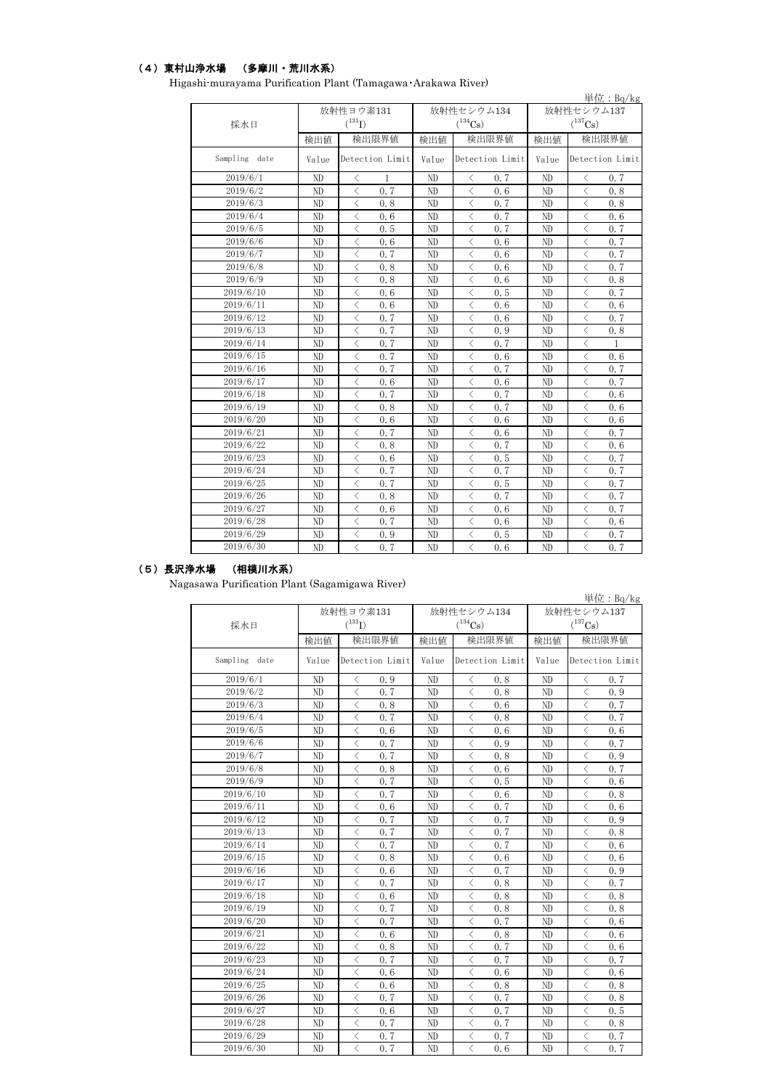#### (4)東村山浄水場 (多摩川・荒川水系)

|               |          |                                                  |       |                                                 |              | 単位: $Bq/kg$                                     |  |  |
|---------------|----------|--------------------------------------------------|-------|-------------------------------------------------|--------------|-------------------------------------------------|--|--|
|               |          | 放射性ヨウ素131                                        |       | 放射性セシウム134                                      | 放射性セシウム137   |                                                 |  |  |
| 採水日           |          | $(^{131}I)$                                      |       | $(^{134}Cs)$                                    | $(^{137}Cs)$ |                                                 |  |  |
|               | 検出値      | 検出限界値                                            | 検出値   | 検出限界値                                           | 検出値          | 検出限界値                                           |  |  |
| Sampling date | Value    | Detection Limit                                  | Value | Detection Limit                                 | Value        | Detection Limit                                 |  |  |
| 2019/6/1      | ND       | $\langle$<br>1                                   | ND    | 0.7<br>ぐ                                        | ND           | $\lt$<br>0.7                                    |  |  |
| 2019/6/2      | ND       | $\overline{\left\langle \right\rangle }$<br>0.7  | ND    | $\langle$<br>0.6                                | ND           | $\overline{\left\langle \right\rangle }$<br>0.8 |  |  |
| 2019/6/3      | $\rm ND$ | $\langle$<br>0.8                                 | ND    | $\langle$<br>0.7                                | ND           | $\langle$<br>0.8                                |  |  |
| 2019/6/4      | ND       | $\langle$<br>0.6                                 | ND    | $\langle$<br>0.7                                | ND           | $\langle$<br>0.6                                |  |  |
| 2019/6/5      | ND       | $\langle$<br>0.5                                 | ND    | $\langle$<br>0.7                                | ND           | $\langle$<br>0.7                                |  |  |
| 2019/6/6      | ND       | $\langle$<br>0.6                                 | ND    | $\langle$<br>0.6                                | ND           | $\langle$<br>0.7                                |  |  |
| 2019/6/7      | ND       | $\langle$<br>0.7                                 | ND    | $\lt$<br>0.6                                    | ND           | $\langle$<br>0.7                                |  |  |
| 2019/6/8      | ND       | $\lt$<br>0.8                                     | ND    | $\lt$<br>0.6                                    | ND           | 0.7<br>$\langle$                                |  |  |
| 2019/6/9      | ND       | $\langle$<br>0.8                                 | ND    | $\langle$<br>0.6                                | ND           | $\langle$<br>0.8                                |  |  |
| 2019/6/10     | ND       | $\,$ $\,$<br>0.6                                 | ND    | $\langle$<br>0.5                                | ND           | $\lt$<br>0.7                                    |  |  |
| 2019/6/11     | ND       | $\langle$<br>0.6                                 | ND    | $\langle$<br>0.6                                | ND           | $\langle$<br>0.6                                |  |  |
| 2019/6/12     | ND       | $\langle$<br>0.7                                 | ND    | $\langle$<br>0.6                                | ND           | $\langle$<br>0.7                                |  |  |
| 2019/6/13     | ND       | $\langle$<br>0, 7                                | ND    | $\langle$<br>0.9                                | ND           | $\langle$<br>0.8                                |  |  |
| 2019/6/14     | ND       | $\langle$<br>0.7                                 | ND    | $\langle$<br>0.7                                | ND           | $\langle$<br>$\mathbf{1}$                       |  |  |
| 2019/6/15     | ND       | $\langle$<br>0.7                                 | ND    | $\langle$<br>0.6                                | ND           | $\langle$<br>0.6                                |  |  |
| 2019/6/16     | ND       | $\overline{\left\langle \right\rangle }$<br>0.7  | ND    | $\lt$<br>0.7                                    | ND           | $\langle$<br>0.7                                |  |  |
| 2019/6/17     | ND       | $\overline{\left\langle \right\rangle }$<br>0.6  | ND    | $\langle$<br>0.6                                | ND           | $\langle$<br>0.7                                |  |  |
| 2019/6/18     | ND       | $\overline{\left\langle \right\rangle }$<br>0.7  | ND    | $\overline{\left\langle \right\rangle }$<br>0.7 | ND           | $\langle$<br>0.6                                |  |  |
| 2019/6/19     | ND       | $\lt$<br>0.8                                     | ND    | $\langle$<br>0.7                                | ND           | $\langle$<br>0.6                                |  |  |
| 2019/6/20     | ND       | $\overline{\left\langle \right\rangle }$<br>0.6  | ND    | $\overline{\left\langle \right\rangle }$<br>0.6 | ND           | $\langle$<br>0.6                                |  |  |
| 2019/6/21     | ND       | $\overline{\left\langle \right\rangle }$<br>0.7  | ND    | $\overline{\left\langle \right\rangle }$<br>0.6 | ND           | $\langle$<br>0.7                                |  |  |
| 2019/6/22     | ND       | $\overline{\left\langle \right\rangle }$<br>0.8  | ND    | $\overline{\left\langle \right\rangle }$<br>0.7 | ND           | $\langle$<br>0.6                                |  |  |
| 2019/6/23     | ND       | $\langle$<br>0.6                                 | ND    | $\langle$<br>0.5                                | ND           | $\langle$<br>0.7                                |  |  |
| 2019/6/24     | ND       | $\langle$<br>0.7                                 | ND    | $\lt$<br>0.7                                    | ND           | $\langle$<br>0.7                                |  |  |
| 2019/6/25     | ND       | $\langle$<br>0.7                                 | ND    | $\overline{\left\langle \right\rangle }$<br>0.5 | ND           | $\langle$<br>0.7                                |  |  |
| 2019/6/26     | ND       | $\lt$<br>0.8                                     | ND    | $\lt$<br>0.7                                    | ND           | $\langle$<br>0.7                                |  |  |
| 2019/6/27     | ND       | $\langle$<br>0.6                                 | ND    | $\langle$<br>0.6                                | ND           | $\langle$<br>0.7                                |  |  |
| 2019/6/28     | ND       | $\langle$<br>0, 7                                | ND    | $\lt$<br>0.6                                    | ND           | $\langle$<br>0, 6                               |  |  |
| 2019/6/29     | ND       | $\lt$<br>0.9                                     | ND    | $\lt$<br>0.5                                    | ND           | $\langle$<br>0.7                                |  |  |
| 2019/6/30     | ND       | $\overline{\left\langle \right\rangle }$<br>0, 7 | ND    | $\overline{\left\langle \right\rangle }$<br>0.6 | ND           | $\langle$<br>0.7                                |  |  |

Higashi-murayama Purification Plant (Tamagawa・Arakawa River)

#### (5)長沢浄水場 (相模川水系)

2019/6/30

Nagasawa Purification Plant (Sagamigawa River)

単位:Bq/kg 検出値 | 検出限界値 | 検出値 | 検出限界値 | 検出限界値 Value Detection Limit Value Detection Limit Value ND < 0.9 ND < 0.8 ND < 0.7 ND < 0.7 ND < 0.8 ND < 0.9 ND  $\vert \langle 0.8 \vert 0.8 \vert 0.6 \vert 0.6 \vert 0.7 \vert 0.7 \vert$ ND  $\vert$   $\langle$  0.7  $\vert$  ND  $\vert$   $\langle$  0.8  $\vert$  ND  $\vert$   $\langle$  0.7 ND  $\vert$   $\langle$  0.6  $\vert$  ND  $\vert$   $\langle$  0.6  $\vert$  ND  $\vert$   $\langle$  0.6 ND  $\vert$   $\langle$  0.7  $\vert$  ND  $\vert$   $\langle$  0.9  $\vert$  ND  $\vert$   $\langle$  0.7 ND < 0.7 ND < 0.8 ND < 0.9 ND  $\vert \langle 0.8 \vert 0.8 \vert 0.6 \vert 0.6 \vert 0.7 \vert 0.7 \vert$ ND  $\vert$   $\langle$  0.7  $\vert$  ND  $\vert$   $\langle$  0.5  $\vert$  ND  $\vert$   $\langle$  0.6 ND  $\vert$   $\langle$  0.7  $\vert$  ND  $\vert$   $\langle$  0.6  $\vert$  ND  $\vert$   $\langle$  0.8 ND  $\vert$  < 0.6 | ND  $\vert$  < 0.7 | ND  $\vert$  < 0.6 ND  $\vert \langle 0.7 \vert 0.7 \vert 0.7 \rangle$  ND  $\vert \langle 0.7 \vert 0.9 \rangle$ ND  $\vert$   $\langle$  0.7  $\vert$  ND  $\vert$   $\langle$  0.7  $\vert$  ND  $\vert$   $\langle$  0.8 ND  $\vert$   $\langle$  0.7  $\vert$  ND  $\vert$   $\langle$  0.7  $\vert$  ND  $\vert$   $\langle$  0.6 ND < 0.8 ND < 0.6 ND < 0.6 ND < 0.6 ND < 0.7 ND < 0.9 ND  $\vert$   $\langle$  0.7  $\vert$  ND  $\vert$   $\langle$  0.8  $\vert$  ND  $\vert$   $\langle$  0.7 ND < 0.6 ND < 0.8 ND < 0.8 ND < 0.7 ND < 0.8 ND < 0.8 ND  $\vert \langle 0.7 \vert 0.7 \vert 0.7 \rangle$  ND  $\vert \langle 0.7 \vert 0.7 \vert 0.6 \rangle$ ND < 0.6 ND < 0.8 ND < 0.6 ND < 0.8 ND < 0.7 ND < 0.6 ND  $\vert$   $\langle$  0.7  $\vert$  ND  $\vert$   $\langle$  0.7  $\vert$  ND  $\vert$   $\langle$  0.7 ND  $\vert$  < 0.6 | ND  $\vert$  < 0.6 | ND  $\vert$  < 0.6 ND < 0.6 ND < 0.8 ND < 0.8 ND  $\vert$   $\langle$  0.7  $\vert$  ND  $\vert$   $\langle$  0.7  $\vert$  ND  $\vert$   $\langle$  0.8 ND < 0.6 ND < 0.7 ND < 0.5 ND  $\vert \langle 0.7 \vert 0.7 \vert 0.7 \rangle$  ND  $\vert \langle 0.7 \vert 0.8 \rangle$ ND  $\vert$   $\langle$  0.7  $\vert$  ND  $\vert$   $\langle$  0.7  $\vert$  ND  $\vert$   $\langle$  0.7 2019/6/29 2019/6/2 2019/6/1 2019/6/3 2019/6/11 2019/6/9 2019/6/12 2019/6/13 2019/6/14 2019/6/15 2019/6/26 2019/6/27 2019/6/28 2019/6/25 2019/6/23 2019/6/22 2019/6/21 2019/6/24 2019/6/8 2019/6/4 2019/6/10 2019/6/5 2019/6/6 2019/6/7 2019/6/18 2019/6/16 2019/6/20 2019/6/19 2019/6/17 採水日 放射性ヨウ素131  $(^{131}I)$ 放射性セシウム134  $(^{134}Cs)$ 放射性セシウム137  $(^{137}Cs)$ Sampling date | Value Detection Limit | Value | Detection Limit | Value | Detection Limit

ND  $\vert$   $\langle$  0.7  $\vert$  ND  $\vert$   $\langle$  0.6  $\vert$  ND  $\vert$   $\langle$  0.7